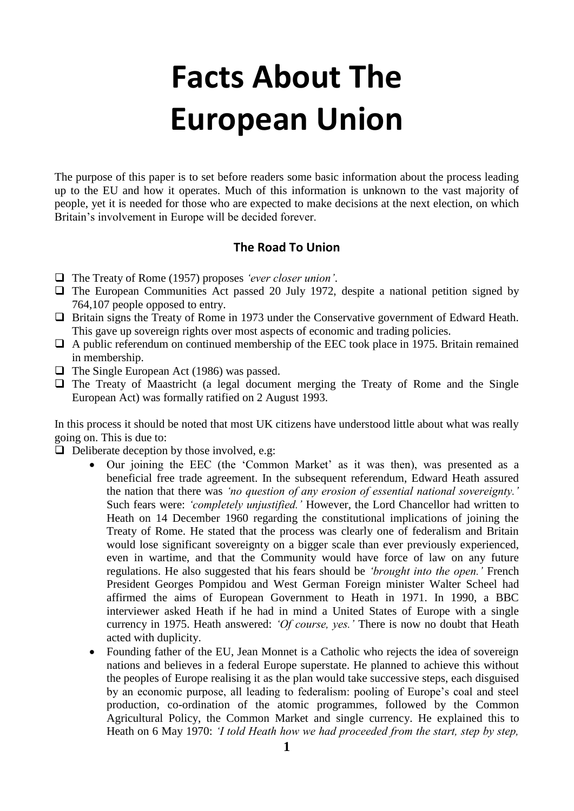# **Facts About The European Union**

The purpose of this paper is to set before readers some basic information about the process leading up to the EU and how it operates. Much of this information is unknown to the vast majority of people, yet it is needed for those who are expected to make decisions at the next election, on which Britain's involvement in Europe will be decided forever.

#### **The Road To Union**

- ❑ The Treaty of Rome (1957) proposes *'ever closer union'*.
- ❑ The European Communities Act passed 20 July 1972, despite a national petition signed by 764,107 people opposed to entry.
- □ Britain signs the Treaty of Rome in 1973 under the Conservative government of Edward Heath. This gave up sovereign rights over most aspects of economic and trading policies.
- □ A public referendum on continued membership of the EEC took place in 1975. Britain remained in membership.
- ❑ The Single European Act (1986) was passed.
- □ The Treaty of Maastricht (a legal document merging the Treaty of Rome and the Single European Act) was formally ratified on 2 August 1993.

In this process it should be noted that most UK citizens have understood little about what was really going on. This is due to:

 $\Box$  Deliberate deception by those involved, e.g.

- Our joining the EEC (the 'Common Market' as it was then), was presented as a beneficial free trade agreement. In the subsequent referendum, Edward Heath assured the nation that there was *'no question of any erosion of essential national sovereignty.'*  Such fears were: *'completely unjustified.'* However, the Lord Chancellor had written to Heath on 14 December 1960 regarding the constitutional implications of joining the Treaty of Rome. He stated that the process was clearly one of federalism and Britain would lose significant sovereignty on a bigger scale than ever previously experienced, even in wartime, and that the Community would have force of law on any future regulations. He also suggested that his fears should be *'brought into the open.'* French President Georges Pompidou and West German Foreign minister Walter Scheel had affirmed the aims of European Government to Heath in 1971. In 1990, a BBC interviewer asked Heath if he had in mind a United States of Europe with a single currency in 1975. Heath answered: *'Of course, yes.'* There is now no doubt that Heath acted with duplicity.
- Founding father of the EU, Jean Monnet is a Catholic who rejects the idea of sovereign nations and believes in a federal Europe superstate. He planned to achieve this without the peoples of Europe realising it as the plan would take successive steps, each disguised by an economic purpose, all leading to federalism: pooling of Europe's coal and steel production, co-ordination of the atomic programmes, followed by the Common Agricultural Policy, the Common Market and single currency. He explained this to Heath on 6 May 1970: *'I told Heath how we had proceeded from the start, step by step,*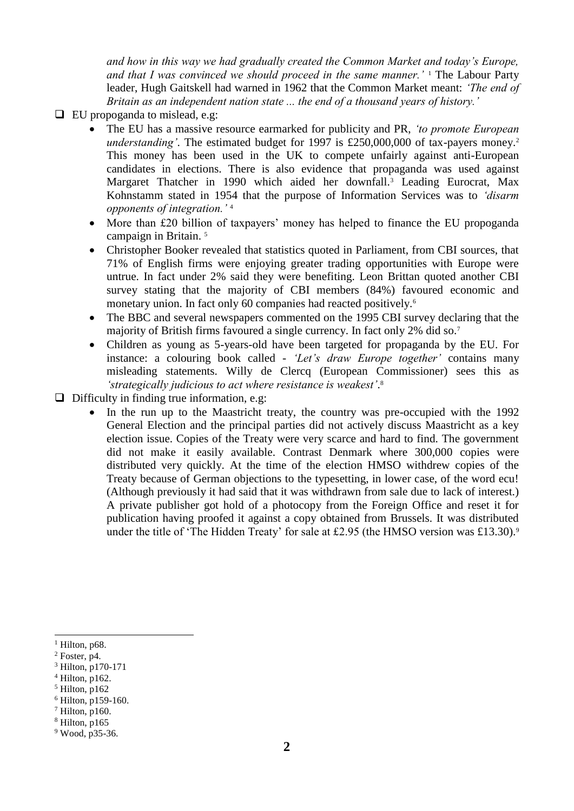*and how in this way we had gradually created the Common Market and today's Europe, and that I was convinced we should proceed in the same manner.'* <sup>1</sup> The Labour Party leader, Hugh Gaitskell had warned in 1962 that the Common Market meant: *'The end of Britain as an independent nation state ... the end of a thousand years of history.'*

- ❑ EU propoganda to mislead, e.g:
	- The EU has a massive resource earmarked for publicity and PR, *'to promote European understanding'*. The estimated budget for 1997 is £250,000,000 of tax-payers money.<sup>2</sup> This money has been used in the UK to compete unfairly against anti-European candidates in elections. There is also evidence that propaganda was used against Margaret Thatcher in 1990 which aided her downfall.<sup>3</sup> Leading Eurocrat, Max Kohnstamm stated in 1954 that the purpose of Information Services was to *'disarm opponents of integration.'* <sup>4</sup>
	- More than £20 billion of taxpayers' money has helped to finance the EU propoganda campaign in Britain. <sup>5</sup>
	- Christopher Booker revealed that statistics quoted in Parliament, from CBI sources, that 71% of English firms were enjoying greater trading opportunities with Europe were untrue. In fact under 2% said they were benefiting. Leon Brittan quoted another CBI survey stating that the majority of CBI members (84%) favoured economic and monetary union. In fact only 60 companies had reacted positively.<sup>6</sup>
	- The BBC and several newspapers commented on the 1995 CBI survey declaring that the majority of British firms favoured a single currency. In fact only 2% did so.<sup>7</sup>
	- Children as young as 5-years-old have been targeted for propaganda by the EU. For instance: a colouring book called - *'Let's draw Europe together'* contains many misleading statements. Willy de Clercq (European Commissioner) sees this as *'strategically judicious to act where resistance is weakest'*. 8
- $\Box$  Difficulty in finding true information, e.g:
	- In the run up to the Maastricht treaty, the country was pre-occupied with the 1992 General Election and the principal parties did not actively discuss Maastricht as a key election issue. Copies of the Treaty were very scarce and hard to find. The government did not make it easily available. Contrast Denmark where 300,000 copies were distributed very quickly. At the time of the election HMSO withdrew copies of the Treaty because of German objections to the typesetting, in lower case, of the word ecu! (Although previously it had said that it was withdrawn from sale due to lack of interest.) A private publisher got hold of a photocopy from the Foreign Office and reset it for publication having proofed it against a copy obtained from Brussels. It was distributed under the title of 'The Hidden Treaty' for sale at £2.95 (the HMSO version was £13.30).<sup>9</sup>

 $<sup>1</sup>$  Hilton, p68.</sup>

 $<sup>2</sup>$  Foster, p4.</sup>

<sup>3</sup> Hilton, p170-171

<sup>4</sup> Hilton, p162.

<sup>5</sup> Hilton, p162

<sup>6</sup> Hilton, p159-160.

 $7$  Hilton, p160.

 $8$  Hilton, p165

<sup>9</sup> Wood, p35-36.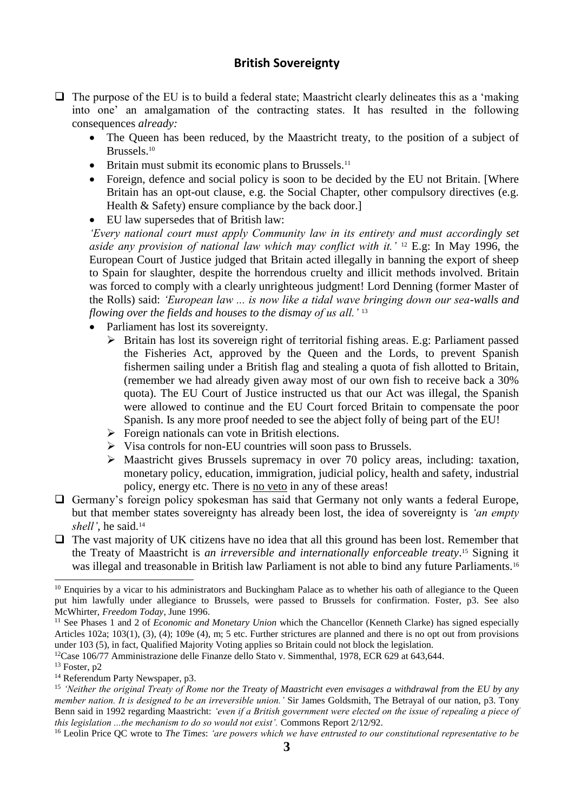#### **British Sovereignty**

- $\Box$  The purpose of the EU is to build a federal state; Maastricht clearly delineates this as a 'making' into one' an amalgamation of the contracting states. It has resulted in the following consequences *already:*
	- The Queen has been reduced, by the Maastricht treaty, to the position of a subject of Brussels.<sup>10</sup>
	- Britain must submit its economic plans to Brussels.<sup>11</sup>
	- Foreign, defence and social policy is soon to be decided by the EU not Britain. [Where Britain has an opt-out clause, e.g. the Social Chapter, other compulsory directives (e.g. Health & Safety) ensure compliance by the back door.]
	- EU law supersedes that of British law:

*'Every national court must apply Community law in its entirety and must accordingly set aside any provision of national law which may conflict with it.'* <sup>12</sup> E.g: In May 1996, the European Court of Justice judged that Britain acted illegally in banning the export of sheep to Spain for slaughter, despite the horrendous cruelty and illicit methods involved. Britain was forced to comply with a clearly unrighteous judgment! Lord Denning (former Master of the Rolls) said: *'European law ... is now like a tidal wave bringing down our sea-walls and flowing over the fields and houses to the dismay of us all.'* <sup>13</sup>

- Parliament has lost its sovereignty.
	- ➢ Britain has lost its sovereign right of territorial fishing areas. E.g: Parliament passed the Fisheries Act, approved by the Queen and the Lords, to prevent Spanish fishermen sailing under a British flag and stealing a quota of fish allotted to Britain, (remember we had already given away most of our own fish to receive back a 30% quota). The EU Court of Justice instructed us that our Act was illegal, the Spanish were allowed to continue and the EU Court forced Britain to compensate the poor Spanish. Is any more proof needed to see the abject folly of being part of the EU!
	- $\triangleright$  Foreign nationals can vote in British elections.
	- ➢ Visa controls for non-EU countries will soon pass to Brussels.
	- ➢ Maastricht gives Brussels supremacy in over 70 policy areas, including: taxation, monetary policy, education, immigration, judicial policy, health and safety, industrial policy, energy etc. There is no veto in any of these areas!
- □ Germany's foreign policy spokesman has said that Germany not only wants a federal Europe, but that member states sovereignty has already been lost, the idea of sovereignty is *'an empty*  shell', he said.<sup>14</sup>
- $\Box$  The vast majority of UK citizens have no idea that all this ground has been lost. Remember that the Treaty of Maastricht is *an irreversible and internationally enforceable treaty*. <sup>15</sup> Signing it was illegal and treasonable in British law Parliament is not able to bind any future Parliaments.<sup>16</sup>

 $10$  Enquiries by a vicar to his administrators and Buckingham Palace as to whether his oath of allegiance to the Queen put him lawfully under allegiance to Brussels, were passed to Brussels for confirmation. Foster, p3. See also McWhirter, *Freedom Today*, June 1996.

<sup>&</sup>lt;sup>11</sup> See Phases 1 and 2 of *Economic and Monetary Union* which the Chancellor (Kenneth Clarke) has signed especially Articles 102a; 103(1), (3), (4); 109e (4), m; 5 etc. Further strictures are planned and there is no opt out from provisions under 103 (5), in fact, Qualified Majority Voting applies so Britain could not block the legislation.

<sup>&</sup>lt;sup>12</sup>Case 106/77 Amministrazione delle Finanze dello Stato v. Simmenthal, 1978, ECR 629 at 643,644.

 $13$  Foster, p2

<sup>&</sup>lt;sup>14</sup> Referendum Party Newspaper, p3.

<sup>15</sup> *'Neither the original Treaty of Rome nor the Treaty of Maastricht even envisages a withdrawal from the EU by any member nation. It is designed to be an irreversible union.'* Sir James Goldsmith, The Betrayal of our nation, p3. Tony Benn said in 1992 regarding Maastricht: *'even if a British government were elected on the issue of repealing a piece of this legislation ...the mechanism to do so would not exist'.* Commons Report 2/12/92.

<sup>16</sup> Leolin Price QC wrote to *The Times*: *'are powers which we have entrusted to our constitutional representative to be*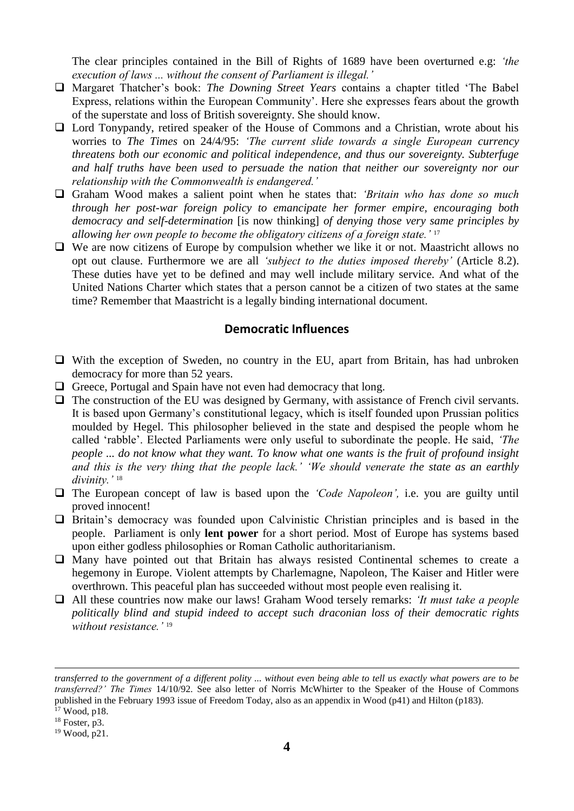The clear principles contained in the Bill of Rights of 1689 have been overturned e.g: *'the execution of laws ... without the consent of Parliament is illegal.'*

- ❑ Margaret Thatcher's book: *The Downing Street Years* contains a chapter titled 'The Babel Express, relations within the European Community'. Here she expresses fears about the growth of the superstate and loss of British sovereignty. She should know.
- ❑ Lord Tonypandy, retired speaker of the House of Commons and a Christian, wrote about his worries to *The Times* on 24/4/95: *'The current slide towards a single European currency threatens both our economic and political independence, and thus our sovereignty. Subterfuge and half truths have been used to persuade the nation that neither our sovereignty nor our relationship with the Commonwealth is endangered.'*
- ❑ Graham Wood makes a salient point when he states that: *'Britain who has done so much through her post-war foreign policy to emancipate her former empire, encouraging both democracy and self-determination* [is now thinking] *of denying those very same principles by allowing her own people to become the obligatory citizens of a foreign state.'* <sup>17</sup>
- ❑ We are now citizens of Europe by compulsion whether we like it or not. Maastricht allows no opt out clause. Furthermore we are all *'subject to the duties imposed thereby'* (Article 8.2). These duties have yet to be defined and may well include military service. And what of the United Nations Charter which states that a person cannot be a citizen of two states at the same time? Remember that Maastricht is a legally binding international document.

#### **Democratic Influences**

- ❑ With the exception of Sweden, no country in the EU, apart from Britain, has had unbroken democracy for more than 52 years.
- □ Greece, Portugal and Spain have not even had democracy that long.
- □ The construction of the EU was designed by Germany, with assistance of French civil servants. It is based upon Germany's constitutional legacy, which is itself founded upon Prussian politics moulded by Hegel. This philosopher believed in the state and despised the people whom he called 'rabble'. Elected Parliaments were only useful to subordinate the people. He said, *'The people ... do not know what they want. To know what one wants is the fruit of profound insight and this is the very thing that the people lack.' 'We should venerate the state as an earthly divinity.'* <sup>18</sup>
- ❑ The European concept of law is based upon the *'Code Napoleon',* i.e. you are guilty until proved innocent!
- □ Britain's democracy was founded upon Calvinistic Christian principles and is based in the people. Parliament is only **lent power** for a short period. Most of Europe has systems based upon either godless philosophies or Roman Catholic authoritarianism.
- ❑ Many have pointed out that Britain has always resisted Continental schemes to create a hegemony in Europe. Violent attempts by Charlemagne, Napoleon, The Kaiser and Hitler were overthrown. This peaceful plan has succeeded without most people even realising it.
- ❑ All these countries now make our laws! Graham Wood tersely remarks: *'It must take a people politically blind and stupid indeed to accept such draconian loss of their democratic rights without resistance.'* <sup>19</sup>

*transferred to the government of a different polity ... without even being able to tell us exactly what powers are to be transferred?' The Times* 14/10/92. See also letter of Norris McWhirter to the Speaker of the House of Commons published in the February 1993 issue of Freedom Today, also as an appendix in Wood (p41) and Hilton (p183). <sup>17</sup> Wood, p18.

 $18$  Foster, p3.

<sup>19</sup> Wood, p21.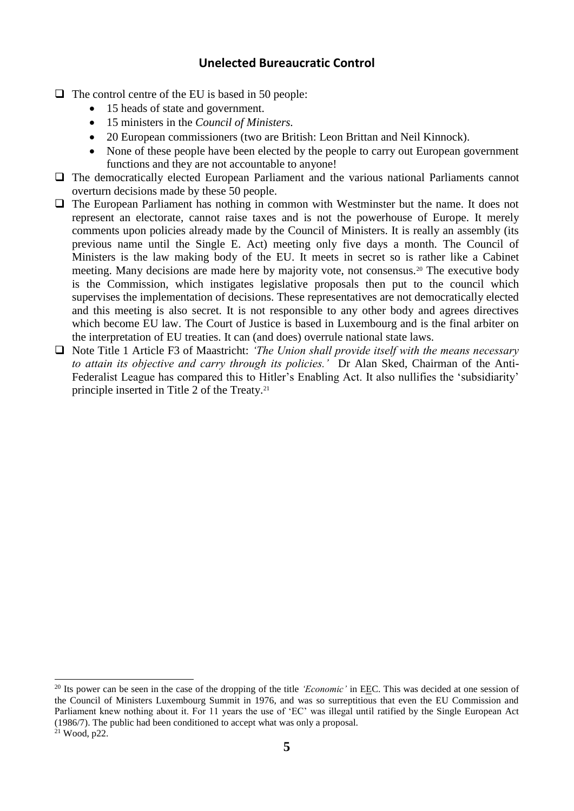#### **Unelected Bureaucratic Control**

- $\Box$  The control centre of the EU is based in 50 people:
	- 15 heads of state and government.

1

- 15 ministers in the *Council of Ministers.*
- 20 European commissioners (two are British: Leon Brittan and Neil Kinnock).
- None of these people have been elected by the people to carry out European government functions and they are not accountable to anyone!
- □ The democratically elected European Parliament and the various national Parliaments cannot overturn decisions made by these 50 people.
- □ The European Parliament has nothing in common with Westminster but the name. It does not represent an electorate, cannot raise taxes and is not the powerhouse of Europe. It merely comments upon policies already made by the Council of Ministers. It is really an assembly (its previous name until the Single E. Act) meeting only five days a month. The Council of Ministers is the law making body of the EU. It meets in secret so is rather like a Cabinet meeting. Many decisions are made here by majority vote, not consensus.<sup>20</sup> The executive body is the Commission, which instigates legislative proposals then put to the council which supervises the implementation of decisions. These representatives are not democratically elected and this meeting is also secret. It is not responsible to any other body and agrees directives which become EU law. The Court of Justice is based in Luxembourg and is the final arbiter on the interpretation of EU treaties. It can (and does) overrule national state laws.
- ❑ Note Title 1 Article F3 of Maastricht: *'The Union shall provide itself with the means necessary to attain its objective and carry through its policies.'* Dr Alan Sked, Chairman of the Anti-Federalist League has compared this to Hitler's Enabling Act. It also nullifies the 'subsidiarity' principle inserted in Title 2 of the Treaty.<sup>21</sup>

<sup>&</sup>lt;sup>20</sup> Its power can be seen in the case of the dropping of the title *'Economic'* in EEC. This was decided at one session of the Council of Ministers Luxembourg Summit in 1976, and was so surreptitious that even the EU Commission and Parliament knew nothing about it. For 11 years the use of 'EC' was illegal until ratified by the Single European Act (1986/7). The public had been conditioned to accept what was only a proposal. <sup>21</sup> Wood, p22.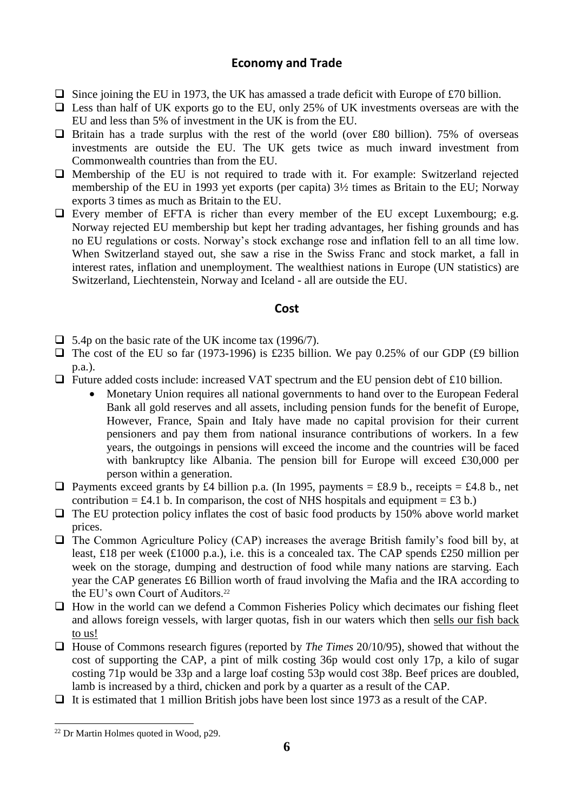#### **Economy and Trade**

- $\Box$  Since joining the EU in 1973, the UK has amassed a trade deficit with Europe of £70 billion.
- $\Box$  Less than half of UK exports go to the EU, only 25% of UK investments overseas are with the EU and less than 5% of investment in the UK is from the EU.
- $\Box$  Britain has a trade surplus with the rest of the world (over £80 billion). 75% of overseas investments are outside the EU. The UK gets twice as much inward investment from Commonwealth countries than from the EU.
- ❑ Membership of the EU is not required to trade with it. For example: Switzerland rejected membership of the EU in 1993 yet exports (per capita) 3½ times as Britain to the EU; Norway exports 3 times as much as Britain to the EU.
- ❑ Every member of EFTA is richer than every member of the EU except Luxembourg; e.g. Norway rejected EU membership but kept her trading advantages, her fishing grounds and has no EU regulations or costs. Norway's stock exchange rose and inflation fell to an all time low. When Switzerland stayed out, she saw a rise in the Swiss Franc and stock market, a fall in interest rates, inflation and unemployment. The wealthiest nations in Europe (UN statistics) are Switzerland, Liechtenstein, Norway and Iceland - all are outside the EU.

#### **Cost**

- ❑ 5.4p on the basic rate of the UK income tax (1996/7).
- $\Box$  The cost of the EU so far (1973-1996) is £235 billion. We pay 0.25% of our GDP (£9 billion p.a.).
- ❑ Future added costs include: increased VAT spectrum and the EU pension debt of £10 billion.
	- Monetary Union requires all national governments to hand over to the European Federal Bank all gold reserves and all assets, including pension funds for the benefit of Europe, However, France, Spain and Italy have made no capital provision for their current pensioners and pay them from national insurance contributions of workers. In a few years, the outgoings in pensions will exceed the income and the countries will be faced with bankruptcy like Albania. The pension bill for Europe will exceed £30,000 per person within a generation.
- □ Payments exceed grants by £4 billion p.a. (In 1995, payments = £8.9 b., receipts = £4.8 b., net contribution = £4.1 b. In comparison, the cost of NHS hospitals and equipment = £3 b.)
- $\Box$  The EU protection policy inflates the cost of basic food products by 150% above world market prices.
- ❑ The Common Agriculture Policy (CAP) increases the average British family's food bill by, at least, £18 per week (£1000 p.a.), i.e. this is a concealed tax. The CAP spends £250 million per week on the storage, dumping and destruction of food while many nations are starving. Each year the CAP generates £6 Billion worth of fraud involving the Mafia and the IRA according to the EU's own Court of Auditors.<sup>22</sup>
- ❑ How in the world can we defend a Common Fisheries Policy which decimates our fishing fleet and allows foreign vessels, with larger quotas, fish in our waters which then sells our fish back to us!
- ❑ House of Commons research figures (reported by *The Times* 20/10/95), showed that without the cost of supporting the CAP, a pint of milk costing 36p would cost only 17p, a kilo of sugar costing 71p would be 33p and a large loaf costing 53p would cost 38p. Beef prices are doubled, lamb is increased by a third, chicken and pork by a quarter as a result of the CAP.
- ❑ It is estimated that 1 million British jobs have been lost since 1973 as a result of the CAP.

<sup>22</sup> Dr Martin Holmes quoted in Wood, p29.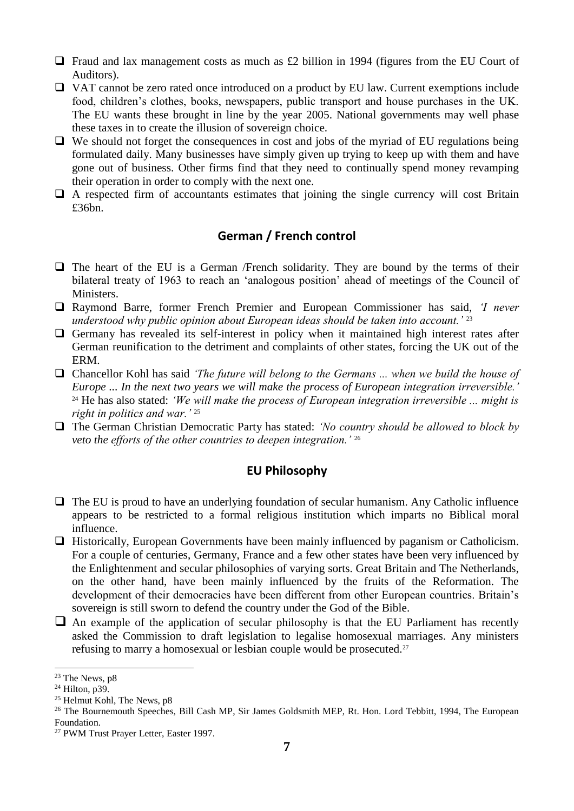- $\Box$  Fraud and lax management costs as much as £2 billion in 1994 (figures from the EU Court of Auditors).
- ❑ VAT cannot be zero rated once introduced on a product by EU law. Current exemptions include food, children's clothes, books, newspapers, public transport and house purchases in the UK. The EU wants these brought in line by the year 2005. National governments may well phase these taxes in to create the illusion of sovereign choice.
- ❑ We should not forget the consequences in cost and jobs of the myriad of EU regulations being formulated daily. Many businesses have simply given up trying to keep up with them and have gone out of business. Other firms find that they need to continually spend money revamping their operation in order to comply with the next one.
- $\Box$  A respected firm of accountants estimates that joining the single currency will cost Britain £36bn.

# **German / French control**

- ❑ The heart of the EU is a German /French solidarity. They are bound by the terms of their bilateral treaty of 1963 to reach an 'analogous position' ahead of meetings of the Council of Ministers.
- ❑ Raymond Barre, former French Premier and European Commissioner has said, *'I never understood why public opinion about European ideas should be taken into account.'* <sup>23</sup>
- □ Germany has revealed its self-interest in policy when it maintained high interest rates after German reunification to the detriment and complaints of other states, forcing the UK out of the ERM.
- ❑ Chancellor Kohl has said *'The future will belong to the Germans ... when we build the house of Europe ... In the next two years we will make the process of European integration irreversible.'*  <sup>24</sup> He has also stated: *'We will make the process of European integration irreversible ... might is right in politics and war.'* <sup>25</sup>
- ❑ The German Christian Democratic Party has stated: *'No country should be allowed to block by veto the efforts of the other countries to deepen integration.'* <sup>26</sup>

#### **EU Philosophy**

- ❑ The EU is proud to have an underlying foundation of secular humanism. Any Catholic influence appears to be restricted to a formal religious institution which imparts no Biblical moral influence.
- ❑ Historically, European Governments have been mainly influenced by paganism or Catholicism. For a couple of centuries, Germany, France and a few other states have been very influenced by the Enlightenment and secular philosophies of varying sorts. Great Britain and The Netherlands, on the other hand, have been mainly influenced by the fruits of the Reformation. The development of their democracies have been different from other European countries. Britain's sovereign is still sworn to defend the country under the God of the Bible.
- $\Box$  An example of the application of secular philosophy is that the EU Parliament has recently asked the Commission to draft legislation to legalise homosexual marriages. Any ministers refusing to marry a homosexual or lesbian couple would be prosecuted.<sup>27</sup>

 $23$  The News, p8

<sup>24</sup> Hilton, p39.

<sup>25</sup> Helmut Kohl, The News, p8

<sup>&</sup>lt;sup>26</sup> The Bournemouth Speeches, Bill Cash MP, Sir James Goldsmith MEP, Rt. Hon. Lord Tebbitt, 1994, The European Foundation.

<sup>27</sup> PWM Trust Prayer Letter, Easter 1997.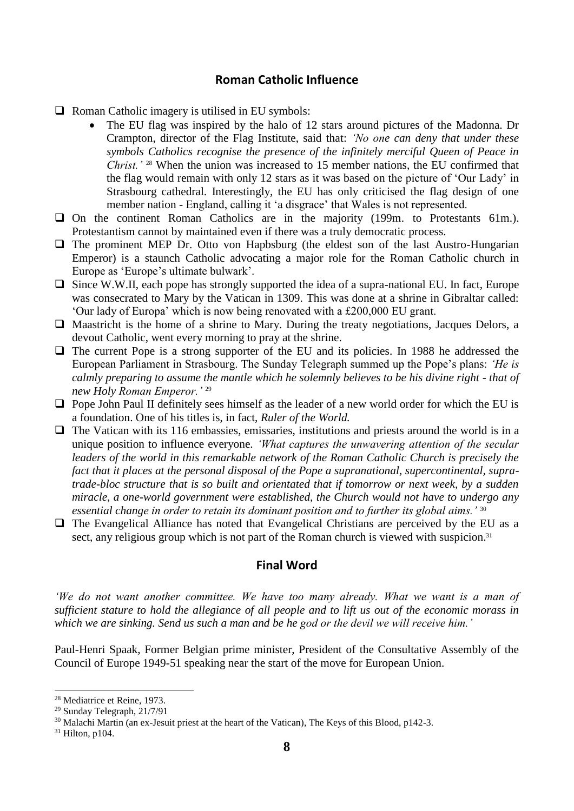#### **Roman Catholic Influence**

 $\Box$  Roman Catholic imagery is utilised in EU symbols:

- The EU flag was inspired by the halo of 12 stars around pictures of the Madonna. Dr Crampton, director of the Flag Institute, said that: *'No one can deny that under these symbols Catholics recognise the presence of the infinitely merciful Queen of Peace in Christ.'* <sup>28</sup> When the union was increased to 15 member nations, the EU confirmed that the flag would remain with only 12 stars as it was based on the picture of 'Our Lady' in Strasbourg cathedral. Interestingly, the EU has only criticised the flag design of one member nation - England, calling it 'a disgrace' that Wales is not represented.
- ❑ On the continent Roman Catholics are in the majority (199m. to Protestants 61m.). Protestantism cannot by maintained even if there was a truly democratic process.
- □ The prominent MEP Dr. Otto von Hapbsburg (the eldest son of the last Austro-Hungarian Emperor) is a staunch Catholic advocating a major role for the Roman Catholic church in Europe as 'Europe's ultimate bulwark'.
- ❑ Since W.W.II, each pope has strongly supported the idea of a supra-national EU. In fact, Europe was consecrated to Mary by the Vatican in 1309. This was done at a shrine in Gibraltar called: 'Our lady of Europa' which is now being renovated with a £200,000 EU grant.
- ❑ Maastricht is the home of a shrine to Mary. During the treaty negotiations, Jacques Delors, a devout Catholic, went every morning to pray at the shrine.
- □ The current Pope is a strong supporter of the EU and its policies. In 1988 he addressed the European Parliament in Strasbourg. The Sunday Telegraph summed up the Pope's plans: *'He is calmly preparing to assume the mantle which he solemnly believes to be his divine right - that of new Holy Roman Emperor.'* <sup>29</sup>
- ❑ Pope John Paul II definitely sees himself as the leader of a new world order for which the EU is a foundation. One of his titles is, in fact, *Ruler of the World.*
- □ The Vatican with its 116 embassies, emissaries, institutions and priests around the world is in a unique position to influence everyone. *'What captures the unwavering attention of the secular leaders of the world in this remarkable network of the Roman Catholic Church is precisely the fact that it places at the personal disposal of the Pope a supranational, supercontinental, supratrade-bloc structure that is so built and orientated that if tomorrow or next week, by a sudden miracle, a one-world government were established, the Church would not have to undergo any essential change in order to retain its dominant position and to further its global aims.'* <sup>30</sup>
- ❑ The Evangelical Alliance has noted that Evangelical Christians are perceived by the EU as a sect, any religious group which is not part of the Roman church is viewed with suspicion.<sup>31</sup>

#### **Final Word**

*'We do not want another committee. We have too many already. What we want is a man of sufficient stature to hold the allegiance of all people and to lift us out of the economic morass in which we are sinking. Send us such a man and be he god or the devil we will receive him.'*

Paul-Henri Spaak, Former Belgian prime minister, President of the Consultative Assembly of the Council of Europe 1949-51 speaking near the start of the move for European Union.

<sup>28</sup> Mediatrice et Reine, 1973.

<sup>29</sup> Sunday Telegraph, 21/7/91

<sup>&</sup>lt;sup>30</sup> Malachi Martin (an ex-Jesuit priest at the heart of the Vatican), The Keys of this Blood, p142-3.

 $31$  Hilton, p104.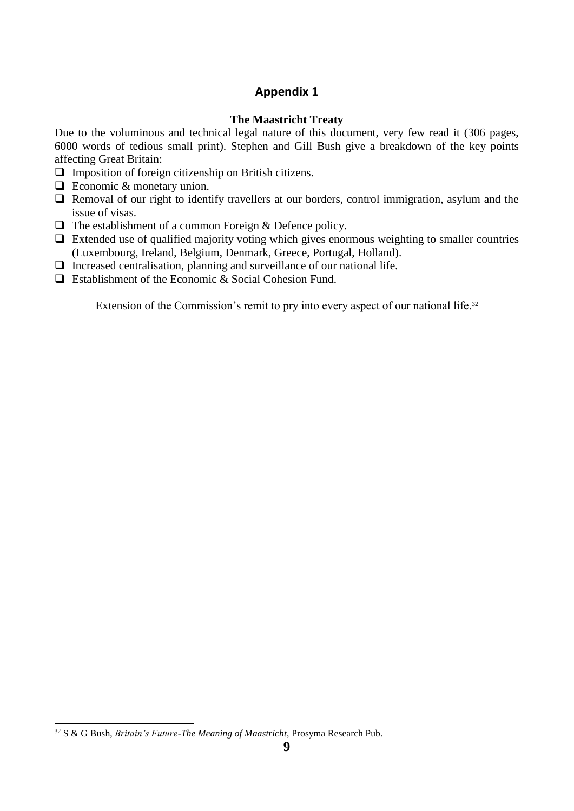# **Appendix 1**

#### **The Maastricht Treaty**

Due to the voluminous and technical legal nature of this document, very few read it (306 pages, 6000 words of tedious small print). Stephen and Gill Bush give a breakdown of the key points affecting Great Britain:

- ❑ Imposition of foreign citizenship on British citizens.
- ❑ Economic & monetary union.
- □ Removal of our right to identify travellers at our borders, control immigration, asylum and the issue of visas.
- $\Box$  The establishment of a common Foreign & Defence policy.
- $\Box$  Extended use of qualified majority voting which gives enormous weighting to smaller countries (Luxembourg, Ireland, Belgium, Denmark, Greece, Portugal, Holland).
- □ Increased centralisation, planning and surveillance of our national life.
- ❑ Establishment of the Economic & Social Cohesion Fund.

Extension of the Commission's remit to pry into every aspect of our national life.<sup>32</sup>

<sup>32</sup> S & G Bush, *Britain's Future-The Meaning of Maastricht*, Prosyma Research Pub.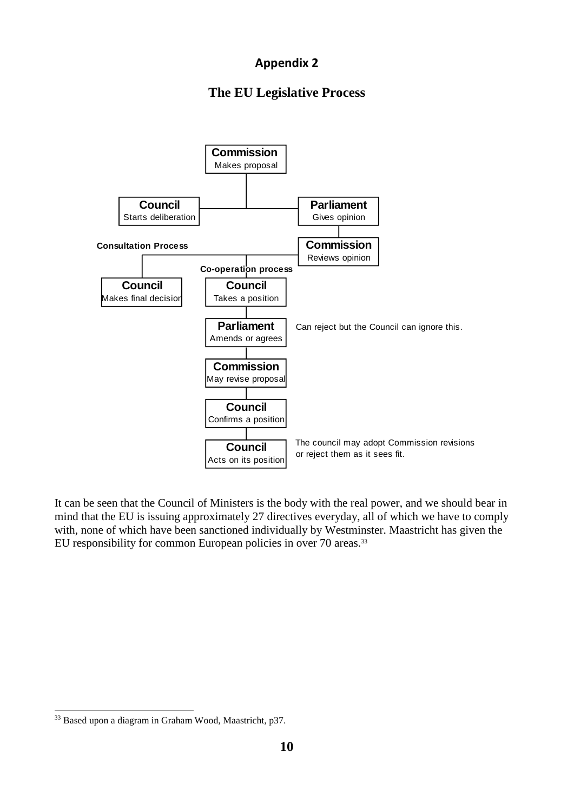# **Appendix 2**

# **The EU Legislative Process**



It can be seen that the Council of Ministers is the body with the real power, and we should bear in mind that the EU is issuing approximately 27 directives everyday, all of which we have to comply with, none of which have been sanctioned individually by Westminster. Maastricht has given the EU responsibility for common European policies in over 70 areas.<sup>33</sup>

<sup>33</sup> Based upon a diagram in Graham Wood, Maastricht, p37.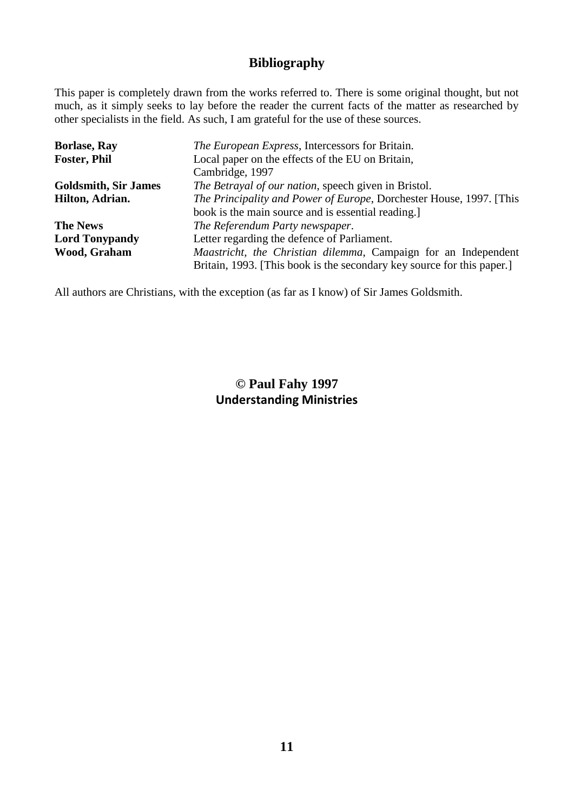# **Bibliography**

This paper is completely drawn from the works referred to. There is some original thought, but not much, as it simply seeks to lay before the reader the current facts of the matter as researched by other specialists in the field. As such, I am grateful for the use of these sources.

| <b>Borlase, Ray</b>         | <i>The European Express</i> , Intercessors for Britain.                |
|-----------------------------|------------------------------------------------------------------------|
| <b>Foster, Phil</b>         | Local paper on the effects of the EU on Britain,                       |
|                             | Cambridge, 1997                                                        |
| <b>Goldsmith, Sir James</b> | The Betrayal of our nation, speech given in Bristol.                   |
| Hilton, Adrian.             | The Principality and Power of Europe, Dorchester House, 1997. [This    |
|                             | book is the main source and is essential reading.                      |
| <b>The News</b>             | The Referendum Party newspaper.                                        |
| <b>Lord Tonypandy</b>       | Letter regarding the defence of Parliament.                            |
| Wood, Graham                | Maastricht, the Christian dilemma, Campaign for an Independent         |
|                             | Britain, 1993. [This book is the secondary key source for this paper.] |

All authors are Christians, with the exception (as far as I know) of Sir James Goldsmith.

# **© Paul Fahy 1997 Understanding Ministries**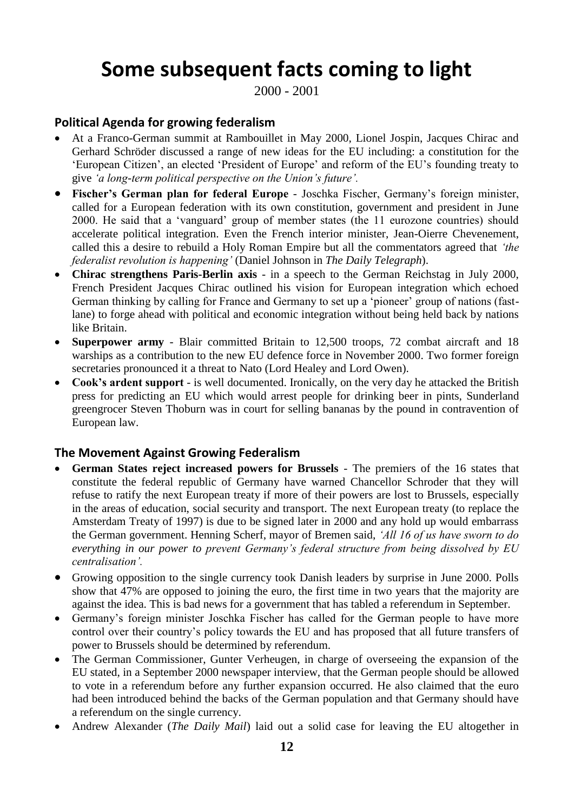# **Some subsequent facts coming to light**

2000 - 2001

# **Political Agenda for growing federalism**

- At a Franco-German summit at Rambouillet in May 2000, Lionel Jospin, Jacques Chirac and Gerhard Schröder discussed a range of new ideas for the EU including: a constitution for the 'European Citizen', an elected 'President of Europe' and reform of the EU's founding treaty to give *'a long-term political perspective on the Union's future'.*
- **Fischer's German plan for federal Europe** *-* Joschka Fischer, Germany's foreign minister, called for a European federation with its own constitution, government and president in June 2000. He said that a 'vanguard' group of member states (the 11 eurozone countries) should accelerate political integration. Even the French interior minister, Jean-Oierre Chevenement, called this a desire to rebuild a Holy Roman Empire but all the commentators agreed that *'the federalist revolution is happening'* (Daniel Johnson in *The Daily Telegraph*).
- **Chirac strengthens Paris-Berlin axis** in a speech to the German Reichstag in July 2000, French President Jacques Chirac outlined his vision for European integration which echoed German thinking by calling for France and Germany to set up a 'pioneer' group of nations (fastlane) to forge ahead with political and economic integration without being held back by nations like Britain.
- **Superpower army** Blair committed Britain to 12,500 troops, 72 combat aircraft and 18 warships as a contribution to the new EU defence force in November 2000. Two former foreign secretaries pronounced it a threat to Nato (Lord Healey and Lord Owen).
- **Cook's ardent support** is well documented. Ironically, on the very day he attacked the British press for predicting an EU which would arrest people for drinking beer in pints, Sunderland greengrocer Steven Thoburn was in court for selling bananas by the pound in contravention of European law.

#### **The Movement Against Growing Federalism**

- **German States reject increased powers for Brussels**  The premiers of the 16 states that constitute the federal republic of Germany have warned Chancellor Schroder that they will refuse to ratify the next European treaty if more of their powers are lost to Brussels, especially in the areas of education, social security and transport. The next European treaty (to replace the Amsterdam Treaty of 1997) is due to be signed later in 2000 and any hold up would embarrass the German government. Henning Scherf, mayor of Bremen said, *'All 16 of us have sworn to do everything in our power to prevent Germany's federal structure from being dissolved by EU centralisation'.*
- Growing opposition to the single currency took Danish leaders by surprise in June 2000. Polls show that 47% are opposed to joining the euro, the first time in two years that the majority are against the idea. This is bad news for a government that has tabled a referendum in September.
- Germany's foreign minister Joschka Fischer has called for the German people to have more control over their country's policy towards the EU and has proposed that all future transfers of power to Brussels should be determined by referendum.
- The German Commissioner, Gunter Verheugen, in charge of overseeing the expansion of the EU stated, in a September 2000 newspaper interview, that the German people should be allowed to vote in a referendum before any further expansion occurred. He also claimed that the euro had been introduced behind the backs of the German population and that Germany should have a referendum on the single currency.
- Andrew Alexander (*The Daily Mail*) laid out a solid case for leaving the EU altogether in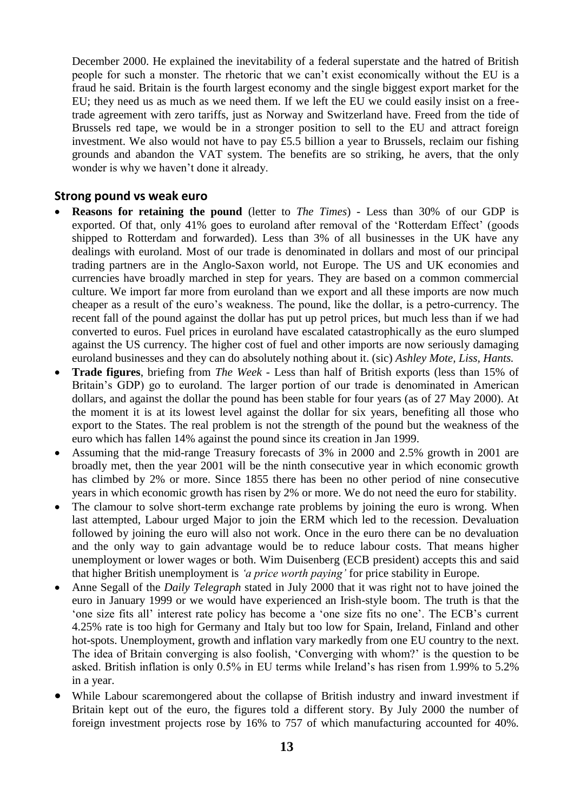December 2000. He explained the inevitability of a federal superstate and the hatred of British people for such a monster. The rhetoric that we can't exist economically without the EU is a fraud he said. Britain is the fourth largest economy and the single biggest export market for the EU; they need us as much as we need them. If we left the EU we could easily insist on a freetrade agreement with zero tariffs, just as Norway and Switzerland have. Freed from the tide of Brussels red tape, we would be in a stronger position to sell to the EU and attract foreign investment. We also would not have to pay £5.5 billion a year to Brussels, reclaim our fishing grounds and abandon the VAT system. The benefits are so striking, he avers, that the only wonder is why we haven't done it already.

#### **Strong pound vs weak euro**

- **Reasons for retaining the pound** (letter to *The Times*) Less than 30% of our GDP is exported. Of that, only 41% goes to euroland after removal of the 'Rotterdam Effect' (goods shipped to Rotterdam and forwarded). Less than 3% of all businesses in the UK have any dealings with euroland. Most of our trade is denominated in dollars and most of our principal trading partners are in the Anglo-Saxon world, not Europe. The US and UK economies and currencies have broadly marched in step for years. They are based on a common commercial culture. We import far more from euroland than we export and all these imports are now much cheaper as a result of the euro's weakness. The pound, like the dollar, is a petro-currency. The recent fall of the pound against the dollar has put up petrol prices, but much less than if we had converted to euros. Fuel prices in euroland have escalated catastrophically as the euro slumped against the US currency. The higher cost of fuel and other imports are now seriously damaging euroland businesses and they can do absolutely nothing about it. (sic) *Ashley Mote, Liss, Hants.*
- **Trade figures**, briefing from *The Week*  Less than half of British exports (less than 15% of Britain's GDP) go to euroland. The larger portion of our trade is denominated in American dollars, and against the dollar the pound has been stable for four years (as of 27 May 2000). At the moment it is at its lowest level against the dollar for six years, benefiting all those who export to the States. The real problem is not the strength of the pound but the weakness of the euro which has fallen 14% against the pound since its creation in Jan 1999.
- Assuming that the mid-range Treasury forecasts of 3% in 2000 and 2.5% growth in 2001 are broadly met, then the year 2001 will be the ninth consecutive year in which economic growth has climbed by 2% or more. Since 1855 there has been no other period of nine consecutive years in which economic growth has risen by 2% or more. We do not need the euro for stability.
- The clamour to solve short-term exchange rate problems by joining the euro is wrong. When last attempted, Labour urged Major to join the ERM which led to the recession. Devaluation followed by joining the euro will also not work. Once in the euro there can be no devaluation and the only way to gain advantage would be to reduce labour costs. That means higher unemployment or lower wages or both. Wim Duisenberg (ECB president) accepts this and said that higher British unemployment is *'a price worth paying'* for price stability in Europe.
- Anne Segall of the *Daily Telegraph* stated in July 2000 that it was right not to have joined the euro in January 1999 or we would have experienced an Irish-style boom. The truth is that the 'one size fits all' interest rate policy has become a 'one size fits no one'. The ECB's current 4.25% rate is too high for Germany and Italy but too low for Spain, Ireland, Finland and other hot-spots. Unemployment, growth and inflation vary markedly from one EU country to the next. The idea of Britain converging is also foolish, 'Converging with whom?' is the question to be asked. British inflation is only 0.5% in EU terms while Ireland's has risen from 1.99% to 5.2% in a year.
- While Labour scaremongered about the collapse of British industry and inward investment if Britain kept out of the euro, the figures told a different story. By July 2000 the number of foreign investment projects rose by 16% to 757 of which manufacturing accounted for 40%.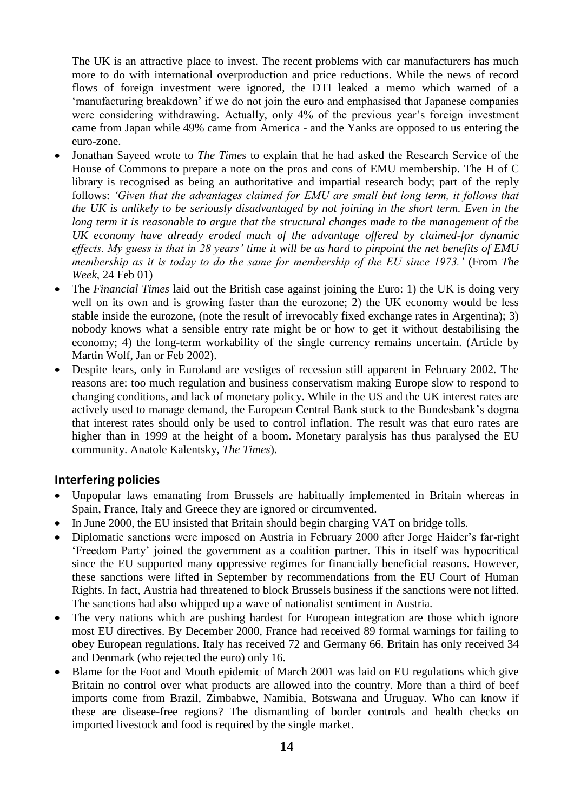The UK is an attractive place to invest. The recent problems with car manufacturers has much more to do with international overproduction and price reductions. While the news of record flows of foreign investment were ignored, the DTI leaked a memo which warned of a 'manufacturing breakdown' if we do not join the euro and emphasised that Japanese companies were considering withdrawing. Actually, only 4% of the previous year's foreign investment came from Japan while 49% came from America - and the Yanks are opposed to us entering the euro-zone.

- Jonathan Sayeed wrote to *The Times* to explain that he had asked the Research Service of the House of Commons to prepare a note on the pros and cons of EMU membership. The H of C library is recognised as being an authoritative and impartial research body; part of the reply follows: *'Given that the advantages claimed for EMU are small but long term, it follows that the UK is unlikely to be seriously disadvantaged by not joining in the short term. Even in the long term it is reasonable to argue that the structural changes made to the management of the UK economy have already eroded much of the advantage offered by claimed-for dynamic effects. My guess is that in 28 years' time it will be as hard to pinpoint the net benefits of EMU membership as it is today to do the same for membership of the EU since 1973.'* (From *The Week*, 24 Feb 01)
- The *Financial Times* laid out the British case against joining the Euro: 1) the UK is doing very well on its own and is growing faster than the eurozone; 2) the UK economy would be less stable inside the eurozone, (note the result of irrevocably fixed exchange rates in Argentina); 3) nobody knows what a sensible entry rate might be or how to get it without destabilising the economy; 4) the long-term workability of the single currency remains uncertain. (Article by Martin Wolf, Jan or Feb 2002).
- Despite fears, only in Euroland are vestiges of recession still apparent in February 2002. The reasons are: too much regulation and business conservatism making Europe slow to respond to changing conditions, and lack of monetary policy. While in the US and the UK interest rates are actively used to manage demand, the European Central Bank stuck to the Bundesbank's dogma that interest rates should only be used to control inflation. The result was that euro rates are higher than in 1999 at the height of a boom. Monetary paralysis has thus paralysed the EU community. Anatole Kalentsky, *The Times*).

#### **Interfering policies**

- Unpopular laws emanating from Brussels are habitually implemented in Britain whereas in Spain, France, Italy and Greece they are ignored or circumvented.
- In June 2000, the EU insisted that Britain should begin charging VAT on bridge tolls.
- Diplomatic sanctions were imposed on Austria in February 2000 after Jorge Haider's far-right 'Freedom Party' joined the government as a coalition partner. This in itself was hypocritical since the EU supported many oppressive regimes for financially beneficial reasons. However, these sanctions were lifted in September by recommendations from the EU Court of Human Rights. In fact, Austria had threatened to block Brussels business if the sanctions were not lifted. The sanctions had also whipped up a wave of nationalist sentiment in Austria.
- The very nations which are pushing hardest for European integration are those which ignore most EU directives. By December 2000, France had received 89 formal warnings for failing to obey European regulations. Italy has received 72 and Germany 66. Britain has only received 34 and Denmark (who rejected the euro) only 16.
- Blame for the Foot and Mouth epidemic of March 2001 was laid on EU regulations which give Britain no control over what products are allowed into the country. More than a third of beef imports come from Brazil, Zimbabwe, Namibia, Botswana and Uruguay. Who can know if these are disease-free regions? The dismantling of border controls and health checks on imported livestock and food is required by the single market.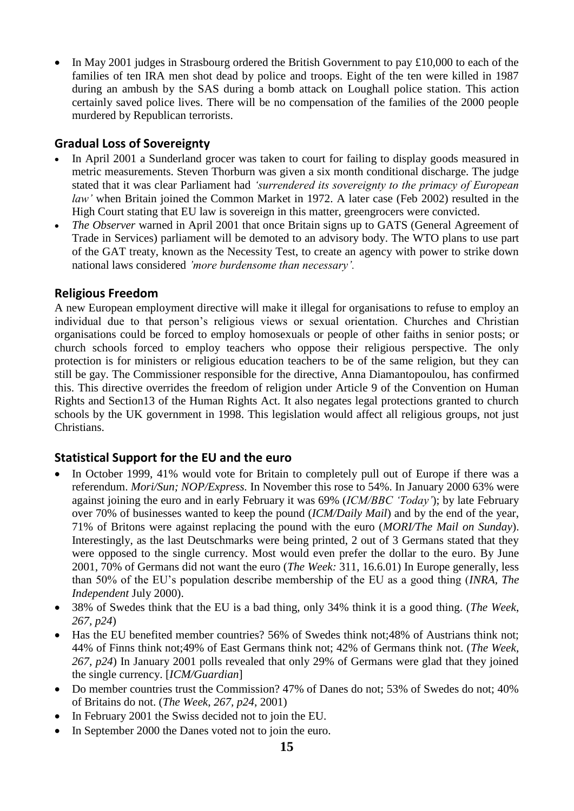In May 2001 judges in Strasbourg ordered the British Government to pay £10,000 to each of the families of ten IRA men shot dead by police and troops. Eight of the ten were killed in 1987 during an ambush by the SAS during a bomb attack on Loughall police station. This action certainly saved police lives. There will be no compensation of the families of the 2000 people murdered by Republican terrorists.

#### **Gradual Loss of Sovereignty**

- In April 2001 a Sunderland grocer was taken to court for failing to display goods measured in metric measurements. Steven Thorburn was given a six month conditional discharge. The judge stated that it was clear Parliament had *'surrendered its sovereignty to the primacy of European law'* when Britain joined the Common Market in 1972. A later case (Feb 2002) resulted in the High Court stating that EU law is sovereign in this matter, greengrocers were convicted.
- *The Observer* warned in April 2001 that once Britain signs up to GATS (General Agreement of Trade in Services) parliament will be demoted to an advisory body. The WTO plans to use part of the GAT treaty, known as the Necessity Test, to create an agency with power to strike down national laws considered *'more burdensome than necessary'.*

# **Religious Freedom**

A new European employment directive will make it illegal for organisations to refuse to employ an individual due to that person's religious views or sexual orientation. Churches and Christian organisations could be forced to employ homosexuals or people of other faiths in senior posts; or church schools forced to employ teachers who oppose their religious perspective. The only protection is for ministers or religious education teachers to be of the same religion, but they can still be gay. The Commissioner responsible for the directive, Anna Diamantopoulou, has confirmed this. This directive overrides the freedom of religion under Article 9 of the Convention on Human Rights and Section13 of the Human Rights Act. It also negates legal protections granted to church schools by the UK government in 1998. This legislation would affect all religious groups, not just Christians.

# **Statistical Support for the EU and the euro**

- In October 1999, 41% would vote for Britain to completely pull out of Europe if there was a referendum. *Mori/Sun; NOP/Express.* In November this rose to 54%. In January 2000 63% were against joining the euro and in early February it was 69% (*ICM/BBC 'Today'*); by late February over 70% of businesses wanted to keep the pound (*ICM/Daily Mail*) and by the end of the year, 71% of Britons were against replacing the pound with the euro (*MORI/The Mail on Sunday*). Interestingly, as the last Deutschmarks were being printed, 2 out of 3 Germans stated that they were opposed to the single currency. Most would even prefer the dollar to the euro. By June 2001, 70% of Germans did not want the euro (*The Week:* 311, 16.6.01) In Europe generally, less than 50% of the EU's population describe membership of the EU as a good thing (*INRA, The Independent* July 2000).
- 38% of Swedes think that the EU is a bad thing, only 34% think it is a good thing. (*The Week*, *267, p24*)
- Has the EU benefited member countries? 56% of Swedes think not;48% of Austrians think not; 44% of Finns think not;49% of East Germans think not; 42% of Germans think not. (*The Week*, *267, p24*) In January 2001 polls revealed that only 29% of Germans were glad that they joined the single currency. [*ICM/Guardian*]
- Do member countries trust the Commission? 47% of Danes do not; 53% of Swedes do not; 40% of Britains do not. (*The Week*, *267, p24*, 2001)
- In February 2001 the Swiss decided not to join the EU.
- In September 2000 the Danes voted not to join the euro.